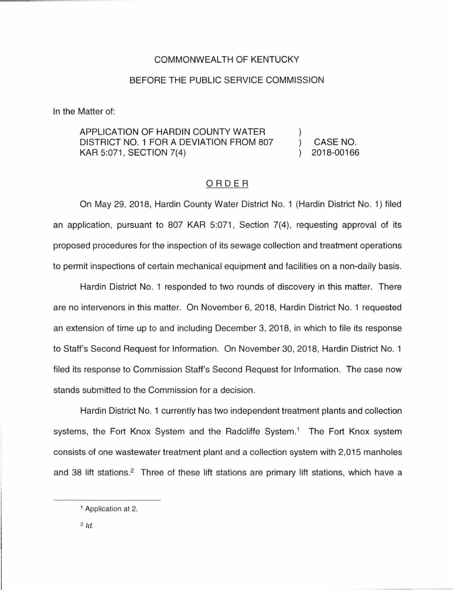## COMMONWEALTH OF KENTUCKY

## BEFORE THE PUBLIC SERVICE COMMISSION

In the Matter of:

## APPLICATION OF HARDIN COUNTY WATER DISTRICT NO. 1 FOR A DEVIATION FROM 807 KAR 5:071, SECTION 7(4) ) ) CASE NO. ) 2018-00166

## ORDER

On May 29, 2018, Hardin County Water District No. 1 (Hardin District No. 1) filed an application, pursuant to 807 KAR 5:071, Section 7(4), requesting approval of its proposed procedures for the inspection of its sewage collection and treatment operations to permit inspections of certain mechanical equipment and facilities on a non-daily basis.

Hardin District No. 1 responded to two rounds of discovery in this matter. There are no intervenors in this matter. On November 6, 2018, Hardin District No. 1 requested an extension of time up to and including December 3, 2018, in which to file its response to Staff's Second Request for Information. On November 30, 2018, Hardin District No. 1 filed its response to Commission Staff's Second Request for Information. The case now stands submitted to the Commission for a decision.

Hardin District No. 1 currently has two independent treatment plants and collection systems, the Fort Knox System and the Radcliffe System.<sup>1</sup> The Fort Knox system consists of one wastewater treatment plant and a collection system with 2,015 manholes and 38 lift stations.<sup>2</sup> Three of these lift stations are primary lift stations, which have a

<sup>&</sup>lt;sup>1</sup> Application at 2.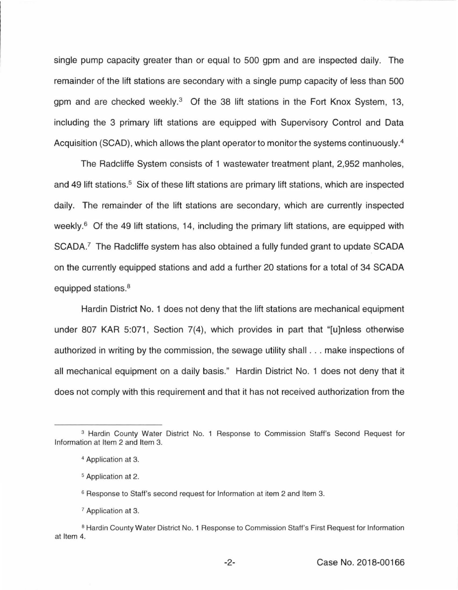single pump capacity greater than or equal to 500 gpm and are inspected daily. The remainder of the lift stations are secondary with a single pump capacity of less than 500 gpm and are checked weekly. $3$  Of the 38 lift stations in the Fort Knox System, 13, including the 3 primary lift stations are equipped with Supervisory Control and Data Acquisition (SCAD), which allows the plant operator to monitor the systems continuously. 4

The Radcliffe System consists of 1 wastewater treatment plant, 2,952 manholes, and 49 lift stations.<sup>5</sup> Six of these lift stations are primary lift stations, which are inspected daily. The remainder of the lift stations are secondary, which are currently inspected weekly.<sup>6</sup> Of the 49 lift stations, 14, including the primary lift stations, are equipped with SCADA.7 The Radcliffe system has also obtained a fully funded grant to update SCADA on the currently equipped stations and add a further 20 stations for a total of 34 SCADA equipped stations.<sup>8</sup>

Hardin District No. 1 does not deny that the lift stations are mechanical equipment under 807 KAR 5:071, Section 7(4), which provides in part that "[u]nless otherwise authorized in writing by the commission, the sewage utility shall . . . make inspections of all mechanical equipment on a daily basis." Hardin District No. 1 does not deny that it does not comply with this requirement and that it has not received authorization from the

<sup>&</sup>lt;sup>3</sup> Hardin County Water District No. 1 Response to Commission Staff's Second Request for Information at Item 2 and Item 3.

<sup>4</sup>Application at 3.

s Application at 2.

<sup>6</sup> Response to Staff's second request for Information at item 2 and Item 3.

<sup>7</sup>Application at 3.

<sup>&</sup>lt;sup>8</sup> Hardin County Water District No. 1 Response to Commission Staff's First Request for Information at Item 4.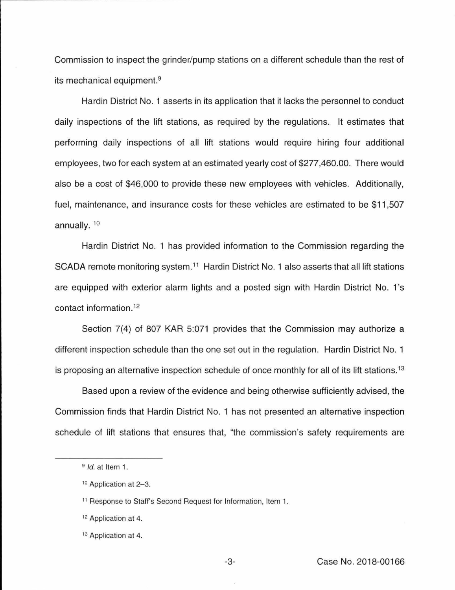Commission to inspect the grinder/pump stations on a different schedule than the rest of its mechanical equipment.<sup>9</sup>

Hardin District No. 1 asserts in its application that it lacks the personnel to conduct daily inspections of the lift stations, as required by the regulations. It estimates that performing daily inspections of all lift stations would require hiring four additional employees, two for each system at an estimated yearly cost of \$277,460.00. There would also be a cost of \$46,000 to provide these new employees with vehicles. Additionally, fuel, maintenance, and insurance costs for these vehicles are estimated to be \$11,507 annually. <sup>10</sup>

Hardin District No. 1 has provided information to the Commission regarding the SCADA remote monitoring system.<sup>11</sup> Hardin District No. 1 also asserts that all lift stations are equipped with exterior alarm lights and a posted sign with Hardin District No. 1 's contact information.<sup>12</sup>

Section 7(4) of 807 KAR 5:071 provides that the Commission may authorize a different inspection schedule than the one set out in the regulation. Hardin District No. 1 is proposing an alternative inspection schedule of once monthly for all of its lift stations.<sup>13</sup>

Based upon a review of the evidence and being otherwise sufficiently advised, the Commission finds that Hardin District No. 1 has not presented an alternative inspection schedule of lift stations that ensures that, "the commission's safety requirements are

<sup>12</sup> Application at 4.

 $9$  *ld.* at Item 1.

<sup>10</sup> Application at 2-3.

<sup>11</sup>Response to Staff's Second Request for Information, Item 1.

<sup>&</sup>lt;sup>13</sup> Application at 4.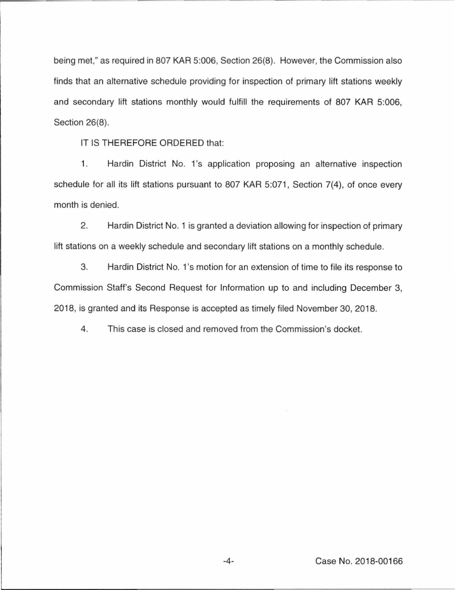being met," as required in 807 KAR 5:006, Section 26(8). However, the Commission also finds that an alternative schedule providing for inspection of primary lift stations weekly and secondary lift stations monthly would fulfill the requirements of 807 KAR 5:006, Section 26(8).

IT IS THEREFORE ORDERED that:

1. Hardin District No. 1's application proposing an alternative inspection schedule for all its lift stations pursuant to 807 KAR 5:071, Section 7(4), of once every month is denied.

2. Hardin District No. 1 is granted a deviation allowing for inspection of primary lift stations on a weekly schedule and secondary lift stations on a monthly schedule.

3. Hardin District No. 1 's motion for an extension of time to file its response to Commission Staff's Second Request for Information up to and including December 3, 2018, is granted and its Response is accepted as timely filed November 30, 2018.

4. This case is closed and removed from the Commission's docket.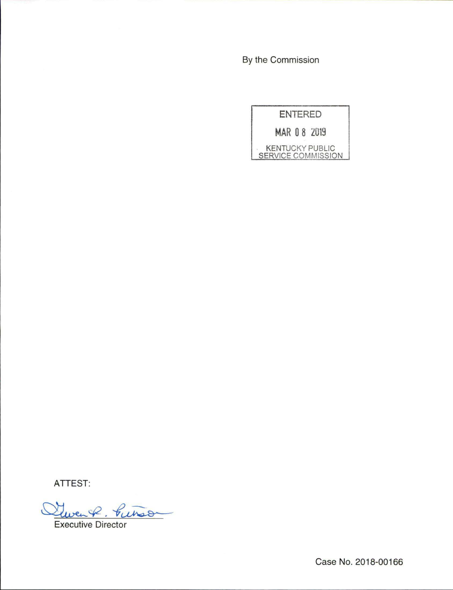By the Commission

ENTERED **MAR 0** 8 2019 KENTUCKY PUBLIC SERVICE COMMISSION

ATTEST:

Suven & Funson

Executive Director

Case No. 2018-00166